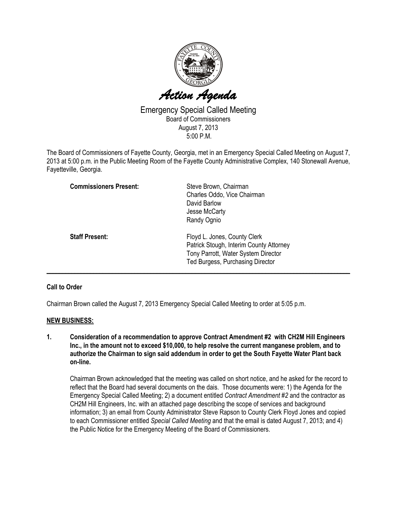

Emergency Special Called Meeting Board of Commissioners August 7, 2013 5:00 P.M.

The Board of Commissioners of Fayette County, Georgia, met in an Emergency Special Called Meeting on August 7, 2013 at 5:00 p.m. in the Public Meeting Room of the Fayette County Administrative Complex, 140 Stonewall Avenue, Fayetteville, Georgia.

| <b>Commissioners Present:</b> | Steve Brown, Chairman<br>Charles Oddo, Vice Chairman<br>David Barlow<br>Jesse McCarty<br>Randy Ognio                                               |
|-------------------------------|----------------------------------------------------------------------------------------------------------------------------------------------------|
| <b>Staff Present:</b>         | Floyd L. Jones, County Clerk<br>Patrick Stough, Interim County Attorney<br>Tony Parrott, Water System Director<br>Ted Burgess, Purchasing Director |

## Call to Order

Chairman Brown called the August 7, 2013 Emergency Special Called Meeting to order at 5:05 p.m.

## NEW BUSINESS:

1. Consideration of a recommendation to approve Contract Amendment #2 with CH2M Hill Engineers Inc., in the amount not to exceed \$10,000, to help resolve the current manganese problem, and to authorize the Chairman to sign said addendum in order to get the South Fayette Water Plant back on-line.

Chairman Brown acknowledged that the meeting was called on short notice, and he asked for the record to reflect that the Board had several documents on the dais. Those documents were: 1) the Agenda for the Emergency Special Called Meeting; 2) a document entitled Contract Amendment #2 and the contractor as CH2M Hill Engineers, Inc. with an attached page describing the scope of services and background information; 3) an email from County Administrator Steve Rapson to County Clerk Floyd Jones and copied to each Commissioner entitled Special Called Meeting and that the email is dated August 7, 2013; and 4) the Public Notice for the Emergency Meeting of the Board of Commissioners.